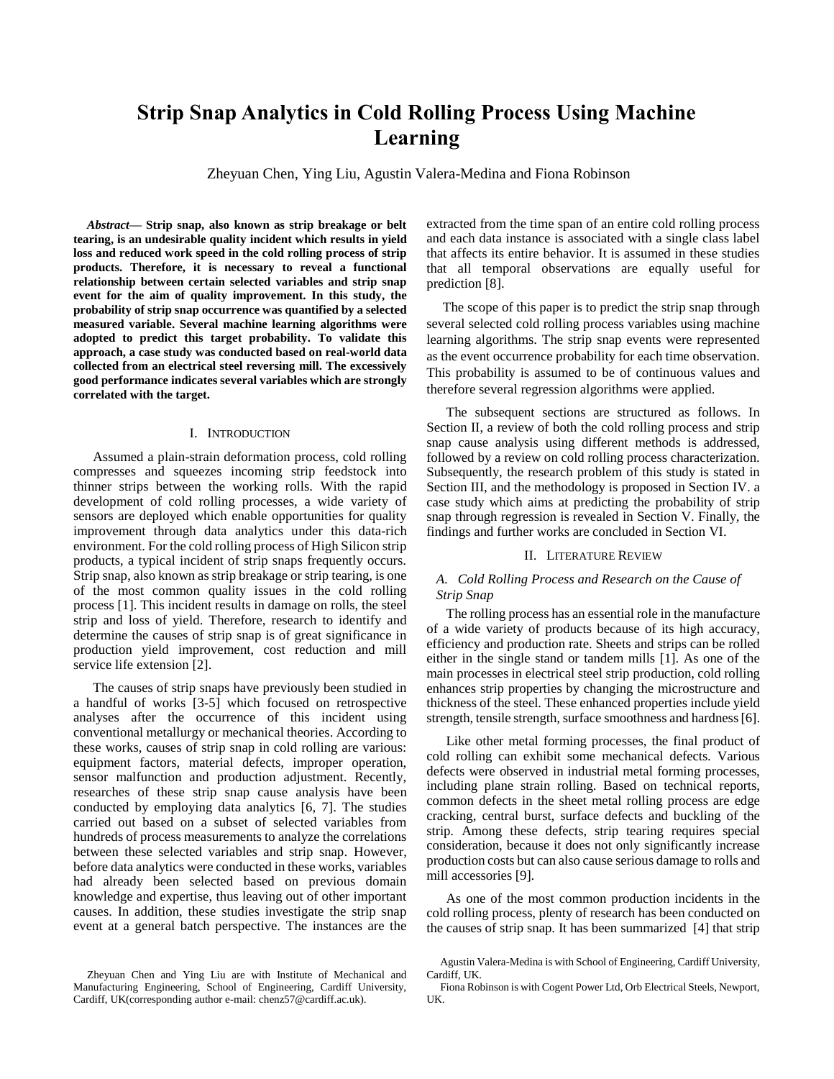# **Strip Snap Analytics in Cold Rolling Process Using Machine Learning**

Zheyuan Chen, Ying Liu, Agustin Valera-Medina and Fiona Robinson

*Abstract—* **Strip snap, also known as strip breakage or belt tearing, is an undesirable quality incident which results in yield loss and reduced work speed in the cold rolling process of strip products. Therefore, it is necessary to reveal a functional relationship between certain selected variables and strip snap event for the aim of quality improvement. In this study, the probability of strip snap occurrence was quantified by a selected measured variable. Several machine learning algorithms were adopted to predict this target probability. To validate this approach, a case study was conducted based on real-world data collected from an electrical steel reversing mill. The excessively good performance indicates several variables which are strongly correlated with the target.**

#### I. INTRODUCTION

Assumed a plain-strain deformation process, cold rolling compresses and squeezes incoming strip feedstock into thinner strips between the working rolls. With the rapid development of cold rolling processes, a wide variety of sensors are deployed which enable opportunities for quality improvement through data analytics under this data-rich environment. For the cold rolling process of High Silicon strip products, a typical incident of strip snaps frequently occurs. Strip snap, also known as strip breakage or strip tearing, is one of the most common quality issues in the cold rolling process [1]. This incident results in damage on rolls, the steel strip and loss of yield. Therefore, research to identify and determine the causes of strip snap is of great significance in production yield improvement, cost reduction and mill service life extension [2].

The causes of strip snaps have previously been studied in a handful of works [3-5] which focused on retrospective analyses after the occurrence of this incident using conventional metallurgy or mechanical theories. According to these works, causes of strip snap in cold rolling are various: equipment factors, material defects, improper operation, sensor malfunction and production adjustment. Recently, researches of these strip snap cause analysis have been conducted by employing data analytics [6, 7]. The studies carried out based on a subset of selected variables from hundreds of process measurements to analyze the correlations between these selected variables and strip snap. However, before data analytics were conducted in these works, variables had already been selected based on previous domain knowledge and expertise, thus leaving out of other important causes. In addition, these studies investigate the strip snap event at a general batch perspective. The instances are the extracted from the time span of an entire cold rolling process and each data instance is associated with a single class label that affects its entire behavior. It is assumed in these studies that all temporal observations are equally useful for prediction [8].

The scope of this paper is to predict the strip snap through several selected cold rolling process variables using machine learning algorithms. The strip snap events were represented as the event occurrence probability for each time observation. This probability is assumed to be of continuous values and therefore several regression algorithms were applied.

The subsequent sections are structured as follows. In Section II, a review of both the cold rolling process and strip snap cause analysis using different methods is addressed, followed by a review on cold rolling process characterization. Subsequently, the research problem of this study is stated in Section III, and the methodology is proposed in Section IV. a case study which aims at predicting the probability of strip snap through regression is revealed in Section V. Finally, the findings and further works are concluded in Section VI.

### II. LITERATURE REVIEW

## *A. Cold Rolling Process and Research on the Cause of Strip Snap*

The rolling process has an essential role in the manufacture of a wide variety of products because of its high accuracy, efficiency and production rate. Sheets and strips can be rolled either in the single stand or tandem mills [1]. As one of the main processes in electrical steel strip production, cold rolling enhances strip properties by changing the microstructure and thickness of the steel. These enhanced properties include yield strength, tensile strength, surface smoothness and hardness [6].

Like other metal forming processes, the final product of cold rolling can exhibit some mechanical defects. Various defects were observed in industrial metal forming processes, including plane strain rolling. Based on technical reports, common defects in the sheet metal rolling process are edge cracking, central burst, surface defects and buckling of the strip. Among these defects, strip tearing requires special consideration, because it does not only significantly increase production costs but can also cause serious damage to rolls and mill accessories [9].

As one of the most common production incidents in the cold rolling process, plenty of research has been conducted on the causes of strip snap. It has been summarized [4] that strip

Zheyuan Chen and Ying Liu are with Institute of Mechanical and Manufacturing Engineering, School of Engineering, Cardiff University, Cardiff, UK(corresponding author e-mail: chenz57@cardiff.ac.uk).

Agustin Valera-Medina is with School of Engineering, Cardiff University, Cardiff, UK.

Fiona Robinson is with Cogent Power Ltd, Orb Electrical Steels, Newport, UK.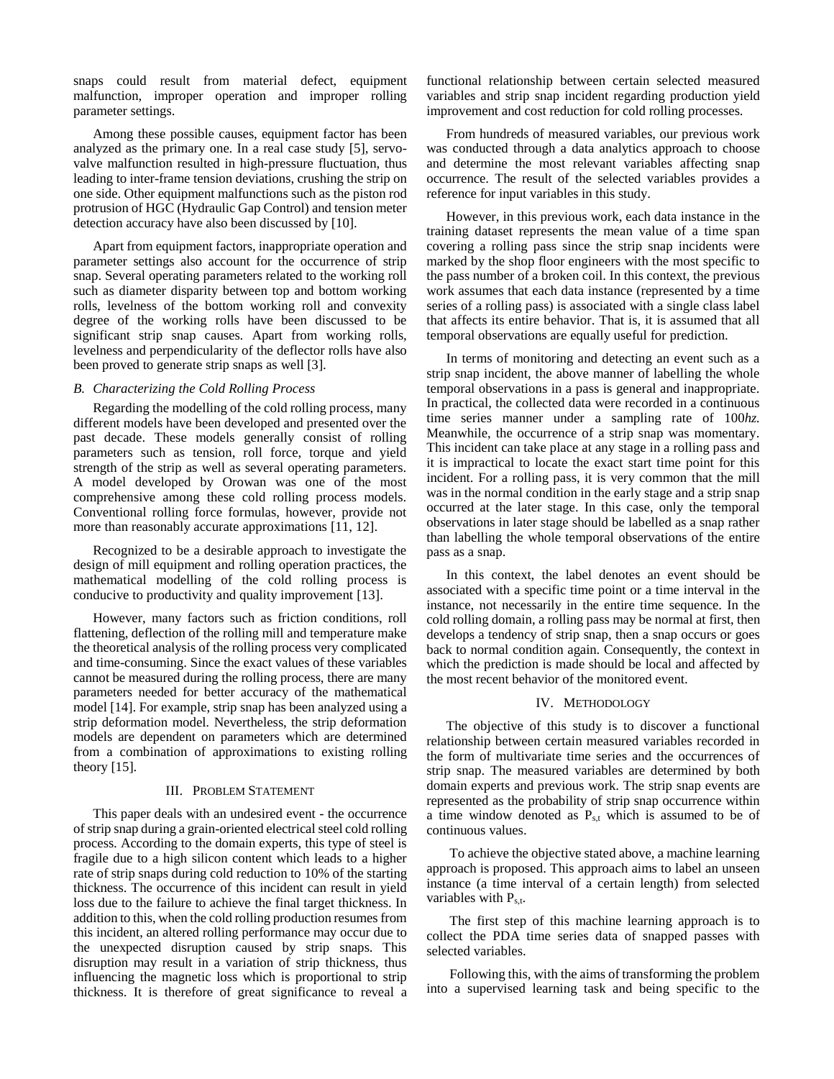snaps could result from material defect, equipment malfunction, improper operation and improper rolling parameter settings.

Among these possible causes, equipment factor has been analyzed as the primary one. In a real case study [5], servovalve malfunction resulted in high-pressure fluctuation, thus leading to inter-frame tension deviations, crushing the strip on one side. Other equipment malfunctions such as the piston rod protrusion of HGC (Hydraulic Gap Control) and tension meter detection accuracy have also been discussed by [10].

Apart from equipment factors, inappropriate operation and parameter settings also account for the occurrence of strip snap. Several operating parameters related to the working roll such as diameter disparity between top and bottom working rolls, levelness of the bottom working roll and convexity degree of the working rolls have been discussed to be significant strip snap causes. Apart from working rolls, levelness and perpendicularity of the deflector rolls have also been proved to generate strip snaps as well [3].

#### *B. Characterizing the Cold Rolling Process*

Regarding the modelling of the cold rolling process, many different models have been developed and presented over the past decade. These models generally consist of rolling parameters such as tension, roll force, torque and yield strength of the strip as well as several operating parameters. A model developed by Orowan was one of the most comprehensive among these cold rolling process models. Conventional rolling force formulas, however, provide not more than reasonably accurate approximations [11, 12].

Recognized to be a desirable approach to investigate the design of mill equipment and rolling operation practices, the mathematical modelling of the cold rolling process is conducive to productivity and quality improvement [13].

However, many factors such as friction conditions, roll flattening, deflection of the rolling mill and temperature make the theoretical analysis of the rolling process very complicated and time-consuming. Since the exact values of these variables cannot be measured during the rolling process, there are many parameters needed for better accuracy of the mathematical model [14]. For example, strip snap has been analyzed using a strip deformation model. Nevertheless, the strip deformation models are dependent on parameters which are determined from a combination of approximations to existing rolling theory [15].

#### III. PROBLEM STATEMENT

This paper deals with an undesired event - the occurrence of strip snap during a grain-oriented electrical steel cold rolling process. According to the domain experts, this type of steel is fragile due to a high silicon content which leads to a higher rate of strip snaps during cold reduction to 10% of the starting thickness. The occurrence of this incident can result in yield loss due to the failure to achieve the final target thickness. In addition to this, when the cold rolling production resumes from this incident, an altered rolling performance may occur due to the unexpected disruption caused by strip snaps. This disruption may result in a variation of strip thickness, thus influencing the magnetic loss which is proportional to strip thickness. It is therefore of great significance to reveal a functional relationship between certain selected measured variables and strip snap incident regarding production yield improvement and cost reduction for cold rolling processes.

From hundreds of measured variables, our previous work was conducted through a data analytics approach to choose and determine the most relevant variables affecting snap occurrence. The result of the selected variables provides a reference for input variables in this study.

However, in this previous work, each data instance in the training dataset represents the mean value of a time span covering a rolling pass since the strip snap incidents were marked by the shop floor engineers with the most specific to the pass number of a broken coil. In this context, the previous work assumes that each data instance (represented by a time series of a rolling pass) is associated with a single class label that affects its entire behavior. That is, it is assumed that all temporal observations are equally useful for prediction.

In terms of monitoring and detecting an event such as a strip snap incident, the above manner of labelling the whole temporal observations in a pass is general and inappropriate. In practical, the collected data were recorded in a continuous time series manner under a sampling rate of 100*hz.* Meanwhile, the occurrence of a strip snap was momentary. This incident can take place at any stage in a rolling pass and it is impractical to locate the exact start time point for this incident. For a rolling pass, it is very common that the mill was in the normal condition in the early stage and a strip snap occurred at the later stage. In this case, only the temporal observations in later stage should be labelled as a snap rather than labelling the whole temporal observations of the entire pass as a snap.

In this context, the label denotes an event should be associated with a specific time point or a time interval in the instance, not necessarily in the entire time sequence. In the cold rolling domain, a rolling pass may be normal at first, then develops a tendency of strip snap, then a snap occurs or goes back to normal condition again. Consequently, the context in which the prediction is made should be local and affected by the most recent behavior of the monitored event.

# IV. METHODOLOGY

The objective of this study is to discover a functional relationship between certain measured variables recorded in the form of multivariate time series and the occurrences of strip snap. The measured variables are determined by both domain experts and previous work. The strip snap events are represented as the probability of strip snap occurrence within a time window denoted as  $P_{s,t}$  which is assumed to be of continuous values.

To achieve the objective stated above, a machine learning approach is proposed. This approach aims to label an unseen instance (a time interval of a certain length) from selected variables with  $P_{s,t}$ .

The first step of this machine learning approach is to collect the PDA time series data of snapped passes with selected variables.

Following this, with the aims of transforming the problem into a supervised learning task and being specific to the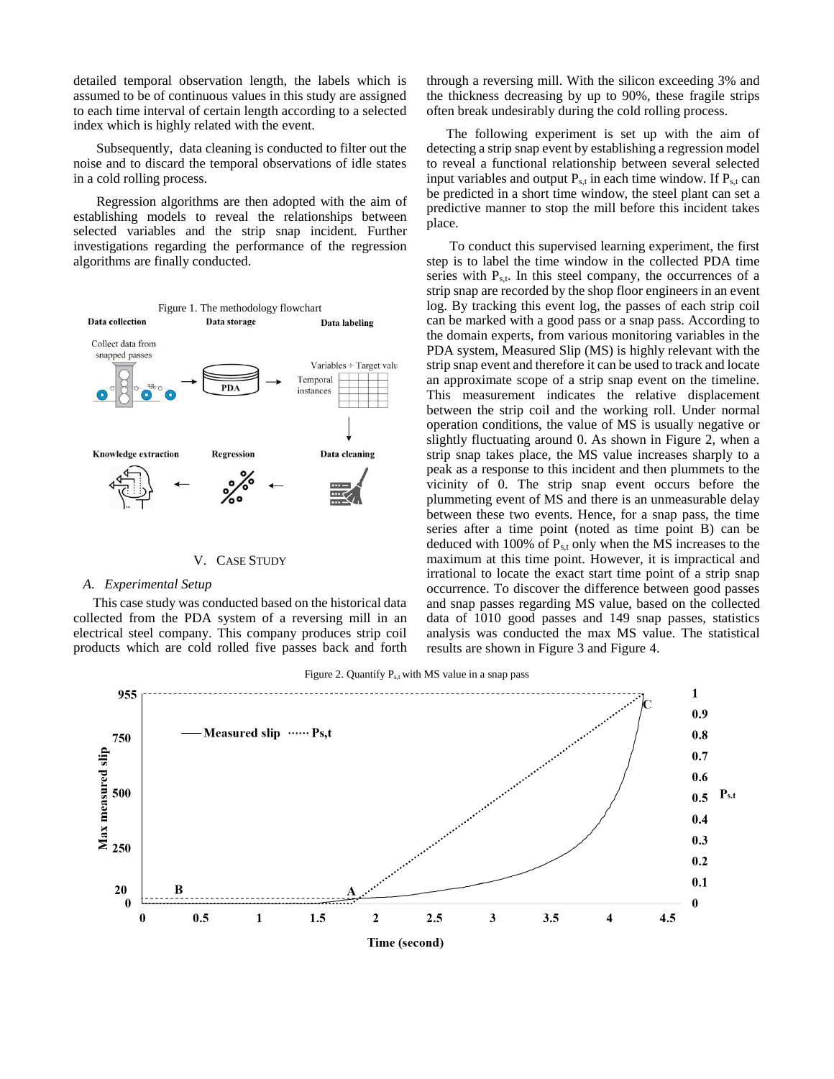detailed temporal observation length, the labels which is assumed to be of continuous values in this study are assigned to each time interval of certain length according to a selected index which is highly related with the event.

Subsequently, data cleaning is conducted to filter out the noise and to discard the temporal observations of idle states in a cold rolling process.

Regression algorithms are then adopted with the aim of establishing models to reveal the relationships between selected variables and the strip snap incident. Further investigations regarding the performance of the regression algorithms are finally conducted.



#### V. CASE STUDY

#### *A. Experimental Setup*

This case study was conducted based on the historical data collected from the PDA system of a reversing mill in an electrical steel company. This company produces strip coil products which are cold rolled five passes back and forth through a reversing mill. With the silicon exceeding 3% and the thickness decreasing by up to 90%, these fragile strips often break undesirably during the cold rolling process.

The following experiment is set up with the aim of detecting a strip snap event by establishing a regression model to reveal a functional relationship between several selected input variables and output  $P_{s,t}$  in each time window. If  $P_{s,t}$  can be predicted in a short time window, the steel plant can set a predictive manner to stop the mill before this incident takes place.

To conduct this supervised learning experiment, the first step is to label the time window in the collected PDA time series with  $P_{s,t}$ . In this steel company, the occurrences of a strip snap are recorded by the shop floor engineers in an event log. By tracking this event log, the passes of each strip coil can be marked with a good pass or a snap pass. According to the domain experts, from various monitoring variables in the PDA system, Measured Slip (MS) is highly relevant with the strip snap event and therefore it can be used to track and locate an approximate scope of a strip snap event on the timeline. This measurement indicates the relative displacement between the strip coil and the working roll. Under normal operation conditions, the value of MS is usually negative or slightly fluctuating around 0. As shown in Figure 2, when a strip snap takes place, the MS value increases sharply to a peak as a response to this incident and then plummets to the vicinity of 0. The strip snap event occurs before the plummeting event of MS and there is an unmeasurable delay between these two events. Hence, for a snap pass, the time series after a time point (noted as time point B) can be deduced with 100% of  $P_{s,t}$  only when the MS increases to the maximum at this time point. However, it is impractical and irrational to locate the exact start time point of a strip snap occurrence. To discover the difference between good passes and snap passes regarding MS value, based on the collected data of 1010 good passes and 149 snap passes, statistics analysis was conducted the max MS value. The statistical results are shown in Figure 3 and Figure 4.

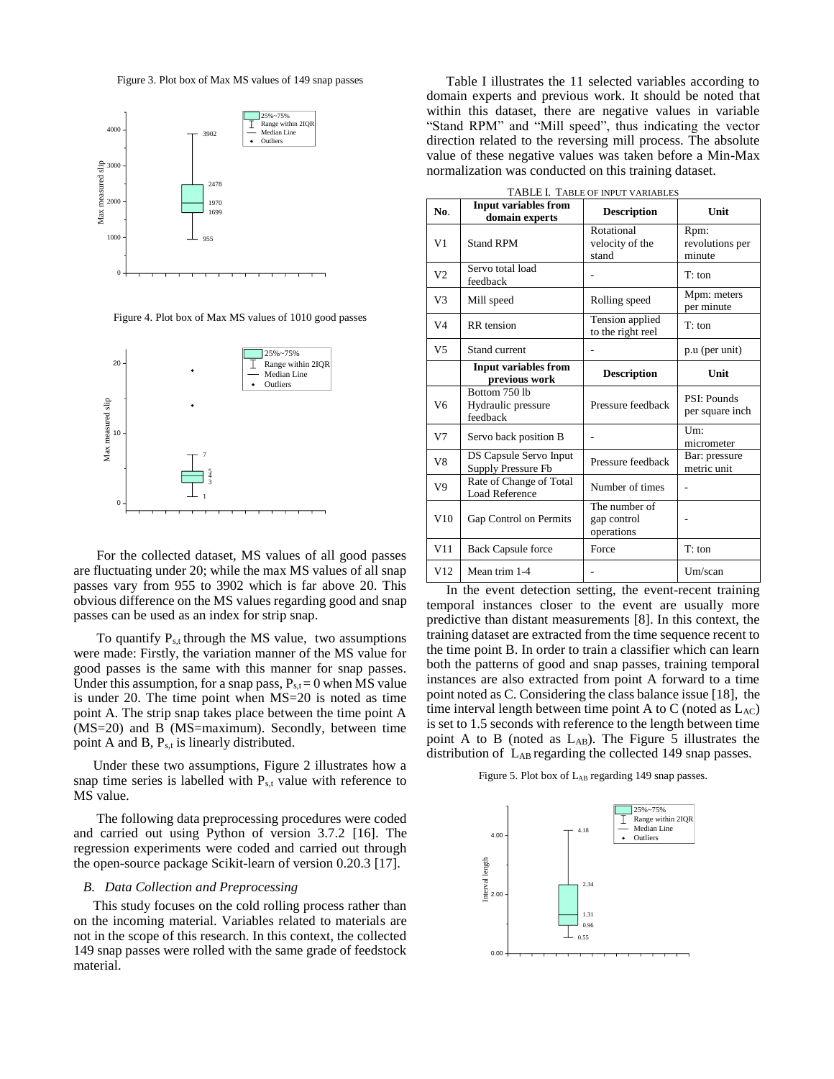Figure 3. Plot box of Max MS values of 149 snap passes



Figure 4. Plot box of Max MS values of 1010 good passes



For the collected dataset, MS values of all good passes are fluctuating under 20; while the max MS values of all snap passes vary from 955 to 3902 which is far above 20. This obvious difference on the MS values regarding good and snap passes can be used as an index for strip snap.

To quantify  $P_{s,t}$  through the MS value, two assumptions were made: Firstly, the variation manner of the MS value for good passes is the same with this manner for snap passes. Under this assumption, for a snap pass,  $P_{s,t} = 0$  when MS value is under 20. The time point when MS=20 is noted as time point A. The strip snap takes place between the time point A (MS=20) and B (MS=maximum). Secondly, between time point A and B,  $P_{s,t}$  is linearly distributed.

Under these two assumptions, Figure 2 illustrates how a snap time series is labelled with  $P_{s,t}$  value with reference to MS value.

The following data preprocessing procedures were coded and carried out using Python of version 3.7.2 [16]. The regression experiments were coded and carried out through the open-source package Scikit-learn of version 0.20.3 [17].

#### *B. Data Collection and Preprocessing*

This study focuses on the cold rolling process rather than on the incoming material. Variables related to materials are not in the scope of this research. In this context, the collected 149 snap passes were rolled with the same grade of feedstock material.

Table I illustrates the 11 selected variables according to domain experts and previous work. It should be noted that within this dataset, there are negative values in variable "Stand RPM" and "Mill speed", thus indicating the vector direction related to the reversing mill process. The absolute value of these negative values was taken before a Min-Max normalization was conducted on this training dataset.

| No.            | <b>Input variables from</b>                         | <b>Description</b>                         | Unit                              |  |
|----------------|-----------------------------------------------------|--------------------------------------------|-----------------------------------|--|
|                | domain experts                                      |                                            |                                   |  |
| V1             | <b>Stand RPM</b>                                    | Rotational<br>velocity of the<br>stand     | Rpm:<br>revolutions per<br>minute |  |
| V <sub>2</sub> | Servo total load<br>feedback                        |                                            | $T: \text{ton}$                   |  |
| V <sub>3</sub> | Mill speed                                          | Rolling speed                              | Mpm: meters<br>per minute         |  |
| V <sub>4</sub> | <b>RR</b> tension                                   | Tension applied<br>to the right reel       | $T: \text{ton}$                   |  |
| V <sub>5</sub> | Stand current                                       |                                            | p.u (per unit)                    |  |
|                | <b>Input variables from</b><br>previous work        | <b>Description</b>                         | Unit                              |  |
| V <sub>6</sub> | Bottom 750 lb<br>Hydraulic pressure<br>feedback     | Pressure feedback                          | PSI: Pounds<br>per square inch    |  |
| V <sub>7</sub> | Servo back position B                               |                                            | Um:<br>micrometer                 |  |
| V8             | DS Capsule Servo Input<br><b>Supply Pressure Fb</b> | Pressure feedback                          | Bar: pressure<br>metric unit      |  |
| V9             | Rate of Change of Total<br><b>Load Reference</b>    | Number of times                            |                                   |  |
| V10            | Gap Control on Permits                              | The number of<br>gap control<br>operations |                                   |  |
| V11            | <b>Back Capsule force</b>                           | Force                                      | $T: \text{ton}$                   |  |
| V12            | Mean trim 1-4                                       |                                            | Um/scan                           |  |

TABLE I. TABLE OF INPUT VARIABLES

In the event detection setting, the event-recent training temporal instances closer to the event are usually more predictive than distant measurements [8]. In this context, the training dataset are extracted from the time sequence recent to the time point B. In order to train a classifier which can learn both the patterns of good and snap passes, training temporal instances are also extracted from point A forward to a time point noted as C. Considering the class balance issue [18], the time interval length between time point A to C (noted as  $L_{AC}$ ) is set to 1.5 seconds with reference to the length between time point A to B (noted as  $L_{AB}$ ). The Figure 5 illustrates the distribution of L<sub>AB</sub> regarding the collected 149 snap passes.

Figure 5. Plot box of LAB regarding 149 snap passes.

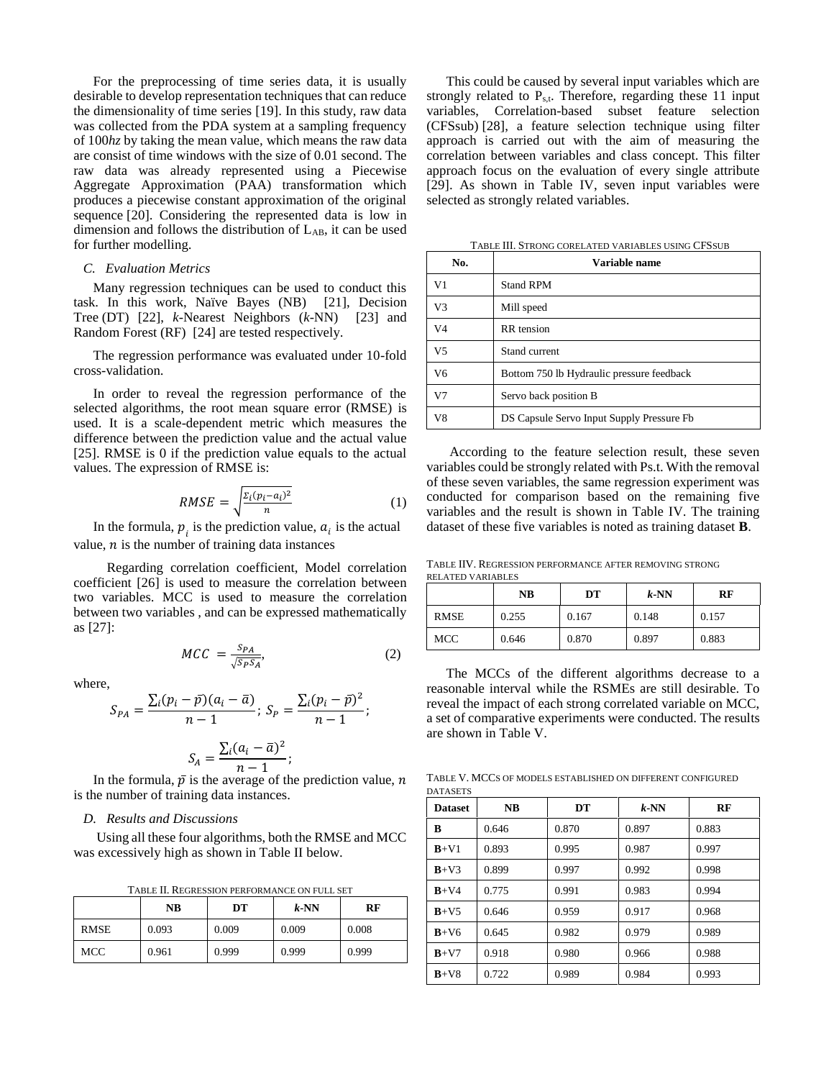For the preprocessing of time series data, it is usually desirable to develop representation techniques that can reduce the dimensionality of time series [19]. In this study, raw data was collected from the PDA system at a sampling frequency of 100*hz* by taking the mean value*,* which means the raw data are consist of time windows with the size of 0.01 second. The raw data was already represented using a Piecewise Aggregate Approximation (PAA) transformation which produces a piecewise constant approximation of the original sequence [20]. Considering the represented data is low in dimension and follows the distribution of  $L_{AB}$ , it can be used for further modelling.

#### *C. Evaluation Metrics*

Many regression techniques can be used to conduct this task. In this work, Naïve Bayes (NB) [21], Decision Tree (DT) [22], *k*-Nearest Neighbors (*k*-NN) [23] and Random Forest (RF) [24] are tested respectively.

The regression performance was evaluated under 10-fold cross-validation.

In order to reveal the regression performance of the selected algorithms, the root mean square error (RMSE) is used. It is a scale-dependent metric which measures the difference between the prediction value and the actual value [25]. RMSE is 0 if the prediction value equals to the actual values. The expression of RMSE is:

$$
RMSE = \sqrt{\frac{\Sigma_i (p_i - a_i)^2}{n}} \tag{1}
$$

In the formula,  $p_i$  is the prediction value,  $a_i$  is the actual value,  $n$  is the number of training data instances

 Regarding correlation coefficient, Model correlation coefficient [26] is used to measure the correlation between two variables. MCC is used to measure the correlation between two variables , and can be expressed mathematically as [27]:

$$
MCC = \frac{Sp_A}{\sqrt{SpSA}},\tag{2}
$$

where,

$$
S_{PA} = \frac{\sum_{i} (p_{i} - \bar{p})(a_{i} - \bar{a})}{n - 1}; \ S_{P} = \frac{\sum_{i} (p_{i} - \bar{p})^{2}}{n - 1};
$$

$$
S_{A} = \frac{\sum_{i} (a_{i} - \bar{a})^{2}}{n - 1};
$$

In the formula,  $\bar{p}$  is the average of the prediction value, n is the number of training data instances.

# *D. Results and Discussions*

Using all these four algorithms, both the RMSE and MCC was excessively high as shown in Table II below.

TABLE II. REGRESSION PERFORMANCE ON FULL SET

|             | NB    | DТ    | $k$ -NN | RF    |
|-------------|-------|-------|---------|-------|
| <b>RMSE</b> | 0.093 | 0.009 | 0.009   | 0.008 |
| MCC         | 0.961 | 0.999 | 0.999   | 0.999 |

This could be caused by several input variables which are strongly related to  $P_{s,t}$ . Therefore, regarding these 11 input variables, Correlation-based subset feature selection (CFSsub) [28], a feature selection technique using filter approach is carried out with the aim of measuring the correlation between variables and class concept. This filter approach focus on the evaluation of every single attribute [29]. As shown in Table IV, seven input variables were selected as strongly related variables.

TABLE III. STRONG CORELATED VARIABLES USING CFSSUB **No. Variable name** V1 Stand RPM V3 Mill speed V<sub>4</sub> RR tension V<sub>5</sub> Stand current V6 Bottom 750 lb Hydraulic pressure feedback V7 Servo back position B V8 DS Capsule Servo Input Supply Pressure Fb

According to the feature selection result, these seven variables could be strongly related with Ps.t. With the removal of these seven variables, the same regression experiment was conducted for comparison based on the remaining five variables and the result is shown in Table IV. The training dataset of these five variables is noted as training dataset **B**.

TABLE IIV. REGRESSION PERFORMANCE AFTER REMOVING STRONG RELATED VARIABLES

|             | NB    | DT    | $k$ -NN | RF    |
|-------------|-------|-------|---------|-------|
| <b>RMSE</b> | 0.255 | 0.167 | 0.148   | 0.157 |
| <b>MCC</b>  | 0.646 | 0.870 | 0.897   | 0.883 |

The MCCs of the different algorithms decrease to a reasonable interval while the RSMEs are still desirable. To reveal the impact of each strong correlated variable on MCC, a set of comparative experiments were conducted. The results are shown in Table V.

TABLE V. MCCS OF MODELS ESTABLISHED ON DIFFERENT CONFIGURED DATASETS

| <b>Dataset</b> | <b>NB</b> | DT    | $k$ -NN | RF    |
|----------------|-----------|-------|---------|-------|
| B              | 0.646     | 0.870 | 0.897   | 0.883 |
| $B+V1$         | 0.893     | 0.995 | 0.987   | 0.997 |
| $B+V3$         | 0.899     | 0.997 | 0.992   | 0.998 |
| $B+V4$         | 0.775     | 0.991 | 0.983   | 0.994 |
| $B+V5$         | 0.646     | 0.959 | 0.917   | 0.968 |
| $B+V6$         | 0.645     | 0.982 | 0.979   | 0.989 |
| $B+V7$         | 0.918     | 0.980 | 0.966   | 0.988 |
| $B+V8$         | 0.722     | 0.989 | 0.984   | 0.993 |